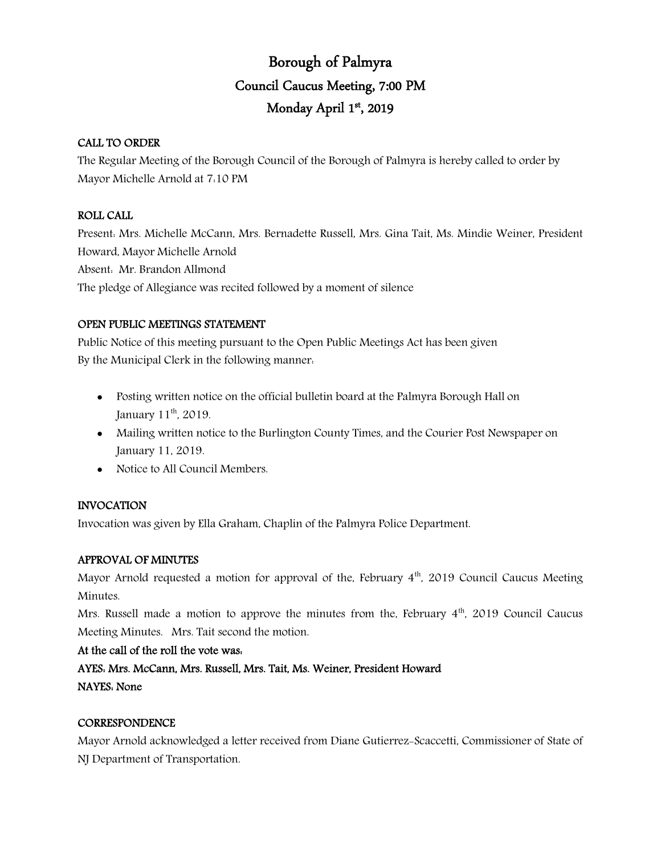# Borough of Palmyra Council Caucus Meeting, 7:00 PM Monday April 1st, 2019

# CALL TO ORDER

The Regular Meeting of the Borough Council of the Borough of Palmyra is hereby called to order by Mayor Michelle Arnold at 7:10 PM

# ROLL CALL

Present: Mrs. Michelle McCann, Mrs. Bernadette Russell, Mrs. Gina Tait, Ms. Mindie Weiner, President Howard, Mayor Michelle Arnold Absent: Mr. Brandon Allmond The pledge of Allegiance was recited followed by a moment of silence

# OPEN PUBLIC MEETINGS STATEMENT

Public Notice of this meeting pursuant to the Open Public Meetings Act has been given By the Municipal Clerk in the following manner:

- Posting written notice on the official bulletin board at the Palmyra Borough Hall on January 11<sup>th</sup>, 2019.
- Mailing written notice to the Burlington County Times, and the Courier Post Newspaper on January 11, 2019.
- Notice to All Council Members.

# INVOCATION

Invocation was given by Ella Graham, Chaplin of the Palmyra Police Department.

# APPROVAL OF MINUTES

Mayor Arnold requested a motion for approval of the, February  $4<sup>th</sup>$ , 2019 Council Caucus Meeting Minutes.

Mrs. Russell made a motion to approve the minutes from the, February  $4<sup>th</sup>$ , 2019 Council Caucus Meeting Minutes. Mrs. Tait second the motion.

# At the call of the roll the vote was:

AYES: Mrs. McCann, Mrs. Russell, Mrs. Tait, Ms. Weiner, President Howard NAYES: None

# **CORRESPONDENCE**

Mayor Arnold acknowledged a letter received from Diane Gutierrez-Scaccetti, Commissioner of State of NJ Department of Transportation.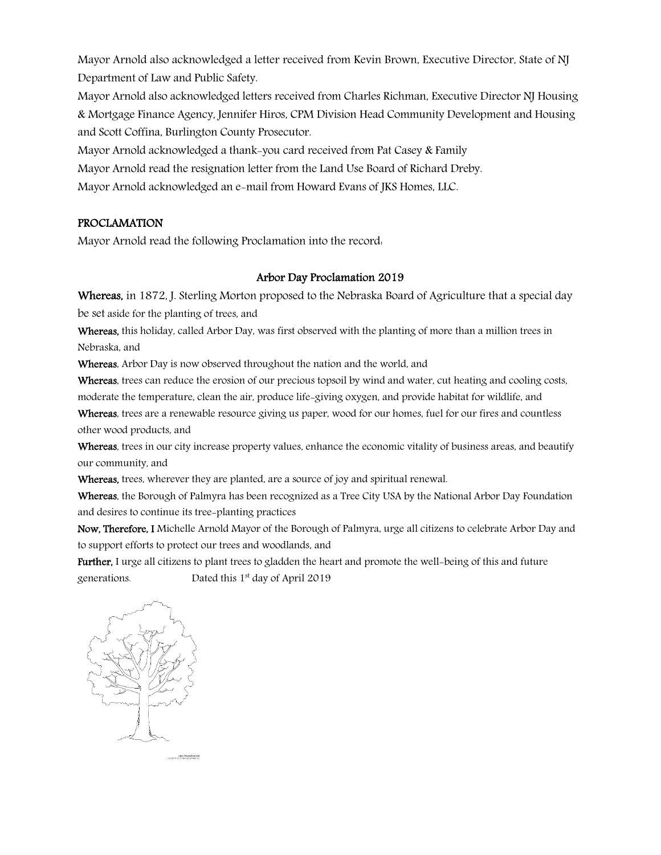Mayor Arnold also acknowledged a letter received from Kevin Brown, Executive Director, State of NJ Department of Law and Public Safety.

Mayor Arnold also acknowledged letters received from Charles Richman, Executive Director NJ Housing & Mortgage Finance Agency, Jennifer Hiros, CPM Division Head Community Development and Housing and Scott Coffina, Burlington County Prosecutor.

Mayor Arnold acknowledged a thank-you card received from Pat Casey & Family

Mayor Arnold read the resignation letter from the Land Use Board of Richard Dreby.

Mayor Arnold acknowledged an e-mail from Howard Evans of JKS Homes, LLC.

#### PROCLAMATION

Mayor Arnold read the following Proclamation into the record:

#### Arbor Day Proclamation 2019

Whereas, in 1872, J. Sterling Morton proposed to the Nebraska Board of Agriculture that a special day

be set aside for the planting of trees, and

Whereas, this holiday, called Arbor Day, was first observed with the planting of more than a million trees in Nebraska, and

Whereas, Arbor Day is now observed throughout the nation and the world, and

Whereas, trees can reduce the erosion of our precious topsoil by wind and water, cut heating and cooling costs, moderate the temperature, clean the air, produce life-giving oxygen, and provide habitat for wildlife, and

Whereas, trees are a renewable resource giving us paper, wood for our homes, fuel for our fires and countless other wood products, and

Whereas, trees in our city increase property values, enhance the economic vitality of business areas, and beautify our community, and

Whereas, trees, wherever they are planted, are a source of joy and spiritual renewal.

Whereas, the Borough of Palmyra has been recognized as a Tree City USA by the National Arbor Day Foundation and desires to continue its tree-planting practices

Now, Therefore, I Michelle Arnold Mayor of the Borough of Palmyra, urge all citizens to celebrate Arbor Day and to support efforts to protect our trees and woodlands, and

Further, I urge all citizens to plant trees to gladden the heart and promote the well-being of this and future generations. Dated this 1<sup>st</sup> day of April 2019

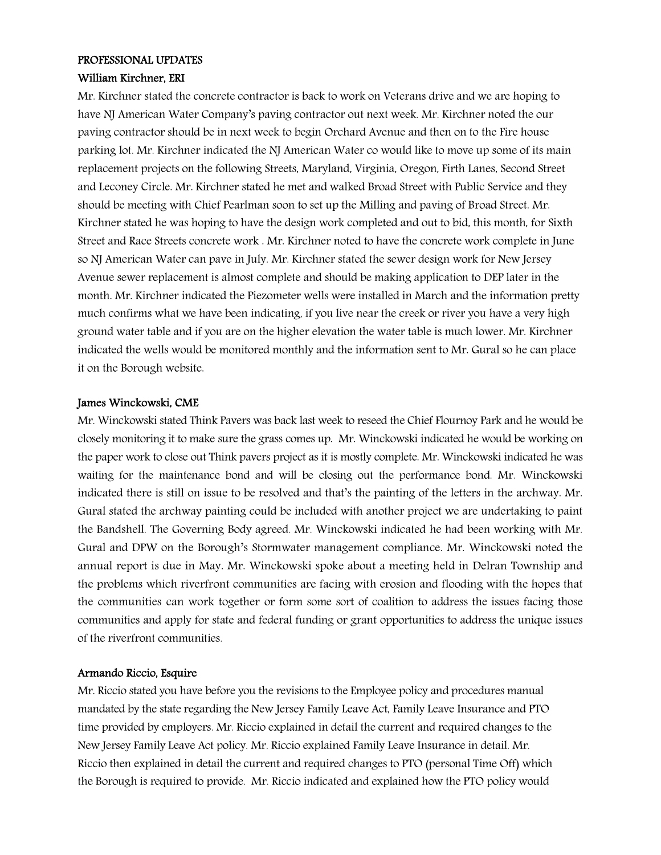# PROFESSIONAL UPDATES

#### William Kirchner, ERI

Mr. Kirchner stated the concrete contractor is back to work on Veterans drive and we are hoping to have NJ American Water Company's paving contractor out next week. Mr. Kirchner noted the our paving contractor should be in next week to begin Orchard Avenue and then on to the Fire house parking lot. Mr. Kirchner indicated the NJ American Water co would like to move up some of its main replacement projects on the following Streets, Maryland, Virginia, Oregon, Firth Lanes, Second Street and Leconey Circle. Mr. Kirchner stated he met and walked Broad Street with Public Service and they should be meeting with Chief Pearlman soon to set up the Milling and paving of Broad Street. Mr. Kirchner stated he was hoping to have the design work completed and out to bid, this month, for Sixth Street and Race Streets concrete work . Mr. Kirchner noted to have the concrete work complete in June so NJ American Water can pave in July. Mr. Kirchner stated the sewer design work for New Jersey Avenue sewer replacement is almost complete and should be making application to DEP later in the month. Mr. Kirchner indicated the Piezometer wells were installed in March and the information pretty much confirms what we have been indicating, if you live near the creek or river you have a very high ground water table and if you are on the higher elevation the water table is much lower. Mr. Kirchner indicated the wells would be monitored monthly and the information sent to Mr. Gural so he can place it on the Borough website.

#### James Winckowski, CME

Mr. Winckowski stated Think Pavers was back last week to reseed the Chief Flournoy Park and he would be closely monitoring it to make sure the grass comes up. Mr. Winckowski indicated he would be working on the paper work to close out Think pavers project as it is mostly complete. Mr. Winckowski indicated he was waiting for the maintenance bond and will be closing out the performance bond. Mr. Winckowski indicated there is still on issue to be resolved and that's the painting of the letters in the archway. Mr. Gural stated the archway painting could be included with another project we are undertaking to paint the Bandshell. The Governing Body agreed. Mr. Winckowski indicated he had been working with Mr. Gural and DPW on the Borough's Stormwater management compliance. Mr. Winckowski noted the annual report is due in May. Mr. Winckowski spoke about a meeting held in Delran Township and the problems which riverfront communities are facing with erosion and flooding with the hopes that the communities can work together or form some sort of coalition to address the issues facing those communities and apply for state and federal funding or grant opportunities to address the unique issues of the riverfront communities.

#### Armando Riccio, Esquire

Mr. Riccio stated you have before you the revisions to the Employee policy and procedures manual mandated by the state regarding the New Jersey Family Leave Act, Family Leave Insurance and PTO time provided by employers. Mr. Riccio explained in detail the current and required changes to the New Jersey Family Leave Act policy. Mr. Riccio explained Family Leave Insurance in detail. Mr. Riccio then explained in detail the current and required changes to PTO (personal Time Off) which the Borough is required to provide. Mr. Riccio indicated and explained how the PTO policy would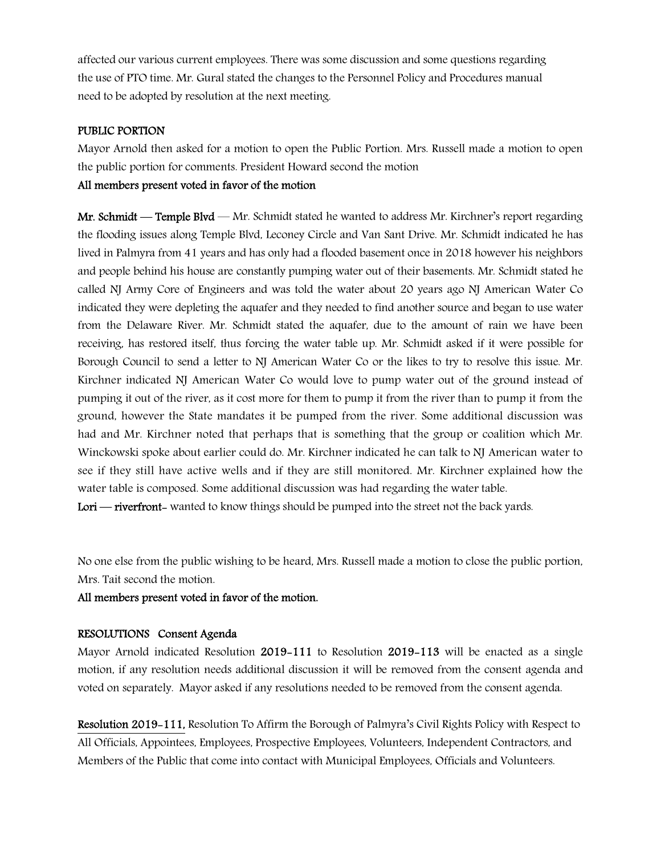affected our various current employees. There was some discussion and some questions regarding the use of PTO time. Mr. Gural stated the changes to the Personnel Policy and Procedures manual need to be adopted by resolution at the next meeting.

#### PUBLIC PORTION

Mayor Arnold then asked for a motion to open the Public Portion. Mrs. Russell made a motion to open the public portion for comments. President Howard second the motion

# All members present voted in favor of the motion

Mr. Schmidt — Temple Blyd — Mr. Schmidt stated he wanted to address Mr. Kirchner's report regarding the flooding issues along Temple Blvd, Leconey Circle and Van Sant Drive. Mr. Schmidt indicated he has lived in Palmyra from 41 years and has only had a flooded basement once in 2018 however his neighbors and people behind his house are constantly pumping water out of their basements. Mr. Schmidt stated he called NJ Army Core of Engineers and was told the water about 20 years ago NJ American Water Co indicated they were depleting the aquafer and they needed to find another source and began to use water from the Delaware River. Mr. Schmidt stated the aquafer, due to the amount of rain we have been receiving, has restored itself, thus forcing the water table up. Mr. Schmidt asked if it were possible for Borough Council to send a letter to NJ American Water Co or the likes to try to resolve this issue. Mr. Kirchner indicated NJ American Water Co would love to pump water out of the ground instead of pumping it out of the river, as it cost more for them to pump it from the river than to pump it from the ground, however the State mandates it be pumped from the river. Some additional discussion was had and Mr. Kirchner noted that perhaps that is something that the group or coalition which Mr. Winckowski spoke about earlier could do. Mr. Kirchner indicated he can talk to NJ American water to see if they still have active wells and if they are still monitored. Mr. Kirchner explained how the water table is composed. Some additional discussion was had regarding the water table.

Lori — riverfront- wanted to know things should be pumped into the street not the back yards.

No one else from the public wishing to be heard, Mrs. Russell made a motion to close the public portion, Mrs. Tait second the motion.

All members present voted in favor of the motion.

# RESOLUTIONS Consent Agenda

Mayor Arnold indicated Resolution 2019-111 to Resolution 2019-113 will be enacted as a single motion, if any resolution needs additional discussion it will be removed from the consent agenda and voted on separately. Mayor asked if any resolutions needed to be removed from the consent agenda.

Resolution 2019-111, Resolution To Affirm the Borough of Palmyra's Civil Rights Policy with Respect to All Officials, Appointees, Employees, Prospective Employees, Volunteers, Independent Contractors, and Members of the Public that come into contact with Municipal Employees, Officials and Volunteers.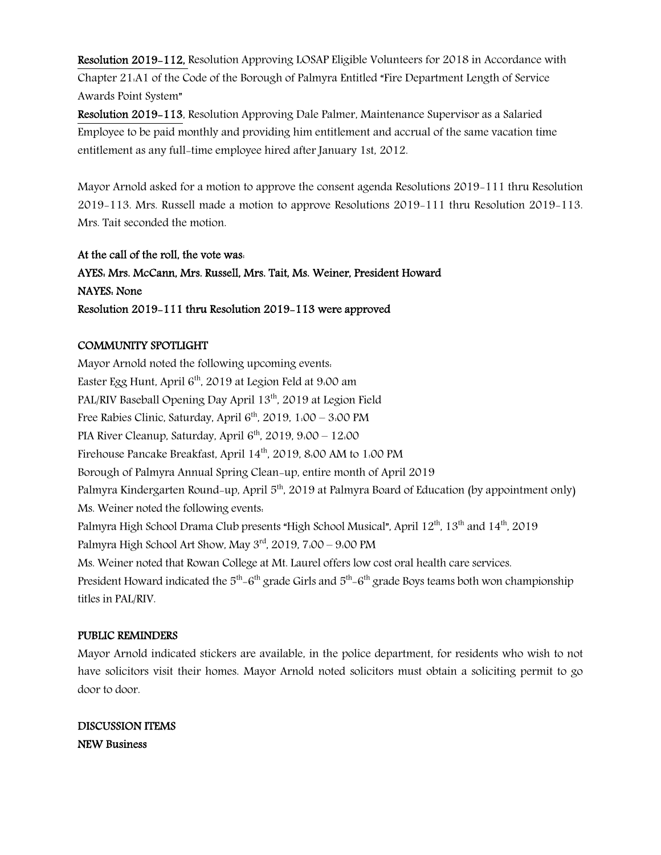Resolution 2019-112, Resolution Approving LOSAP Eligible Volunteers for 2018 in Accordance with Chapter 21:A1 of the Code of the Borough of Palmyra Entitled "Fire Department Length of Service Awards Point System"

Resolution 2019-113, Resolution Approving Dale Palmer, Maintenance Supervisor as a Salaried Employee to be paid monthly and providing him entitlement and accrual of the same vacation time entitlement as any full-time employee hired after January 1st, 2012.

Mayor Arnold asked for a motion to approve the consent agenda Resolutions 2019-111 thru Resolution 2019-113. Mrs. Russell made a motion to approve Resolutions 2019-111 thru Resolution 2019-113. Mrs. Tait seconded the motion.

# At the call of the roll, the vote was:

AYES: Mrs. McCann, Mrs. Russell, Mrs. Tait, Ms. Weiner, President Howard NAYES: None Resolution 2019-111 thru Resolution 2019-113 were approved

# COMMUNITY SPOTLIGHT

Mayor Arnold noted the following upcoming events: Easter Egg Hunt, April  $6<sup>th</sup>$ , 2019 at Legion Feld at 9:00 am PAL/RIV Baseball Opening Day April 13<sup>th</sup>, 2019 at Legion Field Free Rabies Clinic, Saturday, April  $6<sup>th</sup>$ , 2019, 1:00 – 3:00 PM PIA River Cleanup, Saturday, April  $6<sup>th</sup>$ , 2019, 9:00 – 12:00 Firehouse Pancake Breakfast, April 14<sup>th</sup>, 2019, 8:00 AM to 1:00 PM Borough of Palmyra Annual Spring Clean-up, entire month of April 2019 Palmyra Kindergarten Round-up, April 5<sup>th</sup>, 2019 at Palmyra Board of Education (by appointment only) Ms. Weiner noted the following events: Palmyra High School Drama Club presents "High School Musical", April 12th, 13th and 14th, 2019 Palmyra High School Art Show, May 3<sup>rd</sup>, 2019, 7:00 – 9:00 PM Ms. Weiner noted that Rowan College at Mt. Laurel offers low cost oral health care services. President Howard indicated the  $5<sup>th</sup>-6<sup>th</sup>$  grade Girls and  $5<sup>th</sup>-6<sup>th</sup>$  grade Boys teams both won championship titles in PAL/RIV.

# PUBLIC REMINDERS

Mayor Arnold indicated stickers are available, in the police department, for residents who wish to not have solicitors visit their homes. Mayor Arnold noted solicitors must obtain a soliciting permit to go door to door.

DISCUSSION ITEMS NEW Business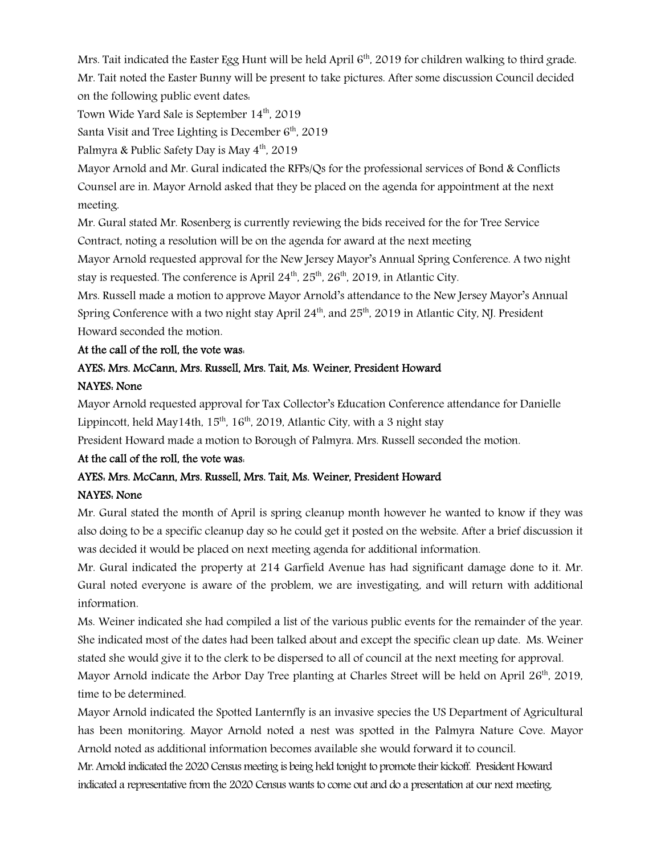Mrs. Tait indicated the Easter Egg Hunt will be held April 6<sup>th</sup>, 2019 for children walking to third grade. Mr. Tait noted the Easter Bunny will be present to take pictures. After some discussion Council decided on the following public event dates:

Town Wide Yard Sale is September 14<sup>th</sup>, 2019

Santa Visit and Tree Lighting is December  $6<sup>th</sup>$ , 2019

Palmyra & Public Safety Day is May  $4<sup>th</sup>$ , 2019

Mayor Arnold and Mr. Gural indicated the RFPs/Qs for the professional services of Bond & Conflicts Counsel are in. Mayor Arnold asked that they be placed on the agenda for appointment at the next meeting.

Mr. Gural stated Mr. Rosenberg is currently reviewing the bids received for the for Tree Service Contract, noting a resolution will be on the agenda for award at the next meeting

Mayor Arnold requested approval for the New Jersey Mayor's Annual Spring Conference. A two night stay is requested. The conference is April  $24<sup>th</sup>$ ,  $25<sup>th</sup>$ ,  $26<sup>th</sup>$ , 2019, in Atlantic City.

Mrs. Russell made a motion to approve Mayor Arnold's attendance to the New Jersey Mayor's Annual Spring Conference with a two night stay April  $24<sup>th</sup>$ , and  $25<sup>th</sup>$ , 2019 in Atlantic City, NJ. President Howard seconded the motion.

#### At the call of the roll, the vote was:

# AYES: Mrs. McCann, Mrs. Russell, Mrs. Tait, Ms. Weiner, President Howard NAYES: None

Mayor Arnold requested approval for Tax Collector's Education Conference attendance for Danielle Lippincott, held May14th,  $15<sup>th</sup>$ ,  $16<sup>th</sup>$ , 2019, Atlantic City, with a 3 night stay

President Howard made a motion to Borough of Palmyra. Mrs. Russell seconded the motion.

#### At the call of the roll, the vote was:

# AYES: Mrs. McCann, Mrs. Russell, Mrs. Tait, Ms. Weiner, President Howard NAYES: None

Mr. Gural stated the month of April is spring cleanup month however he wanted to know if they was also doing to be a specific cleanup day so he could get it posted on the website. After a brief discussion it was decided it would be placed on next meeting agenda for additional information.

Mr. Gural indicated the property at 214 Garfield Avenue has had significant damage done to it. Mr. Gural noted everyone is aware of the problem, we are investigating, and will return with additional information.

Ms. Weiner indicated she had compiled a list of the various public events for the remainder of the year. She indicated most of the dates had been talked about and except the specific clean up date. Ms. Weiner stated she would give it to the clerk to be dispersed to all of council at the next meeting for approval.

Mayor Arnold indicate the Arbor Day Tree planting at Charles Street will be held on April  $26<sup>th</sup>$ , 2019, time to be determined.

Mayor Arnold indicated the Spotted Lanternfly is an invasive species the US Department of Agricultural has been monitoring. Mayor Arnold noted a nest was spotted in the Palmyra Nature Cove. Mayor Arnold noted as additional information becomes available she would forward it to council.

Mr. Arnold indicated the 2020 Census meeting is being held tonight to promote their kickoff. President Howard indicated a representative from the 2020 Census wants to come out and do a presentation at our next meeting.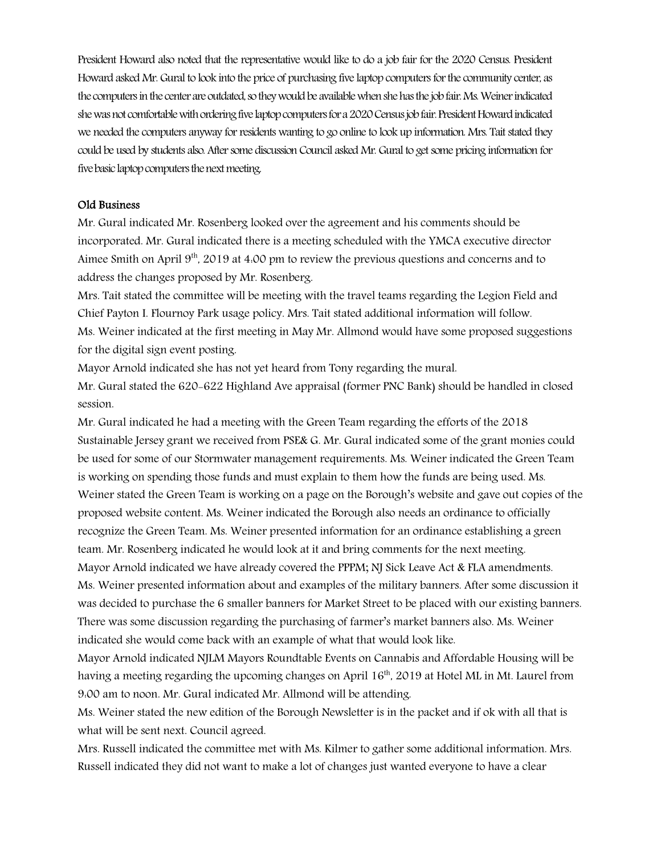President Howard also noted that the representative would like to do a job fair for the 2020 Census. President Howard asked Mr. Gural to look into the price of purchasing five laptop computers for the community center, as the computers in the center are outdated, so they would be available when she has the job fair. Ms. Weiner indicated she was not comfortable with ordering five laptop computers for a 2020 Census job fair. President Howard indicated we needed the computers anyway for residents wanting to go online to look up information. Mrs. Tait stated they could be used by students also. After some discussion Council asked Mr. Gural to get some pricing information for five basic laptop computers the next meeting.

#### Old Business

Mr. Gural indicated Mr. Rosenberg looked over the agreement and his comments should be incorporated. Mr. Gural indicated there is a meeting scheduled with the YMCA executive director Aimee Smith on April  $9<sup>th</sup>$ , 2019 at 4.00 pm to review the previous questions and concerns and to address the changes proposed by Mr. Rosenberg.

Mrs. Tait stated the committee will be meeting with the travel teams regarding the Legion Field and Chief Payton I. Flournoy Park usage policy. Mrs. Tait stated additional information will follow. Ms. Weiner indicated at the first meeting in May Mr. Allmond would have some proposed suggestions for the digital sign event posting.

Mayor Arnold indicated she has not yet heard from Tony regarding the mural.

Mr. Gural stated the 620-622 Highland Ave appraisal (former PNC Bank) should be handled in closed session.

Mr. Gural indicated he had a meeting with the Green Team regarding the efforts of the 2018 Sustainable Jersey grant we received from PSE& G. Mr. Gural indicated some of the grant monies could be used for some of our Stormwater management requirements. Ms. Weiner indicated the Green Team is working on spending those funds and must explain to them how the funds are being used. Ms. Weiner stated the Green Team is working on a page on the Borough's website and gave out copies of the proposed website content. Ms. Weiner indicated the Borough also needs an ordinance to officially recognize the Green Team. Ms. Weiner presented information for an ordinance establishing a green team. Mr. Rosenberg indicated he would look at it and bring comments for the next meeting. Mayor Arnold indicated we have already covered the PPPM; NJ Sick Leave Act & FLA amendments. Ms. Weiner presented information about and examples of the military banners. After some discussion it was decided to purchase the 6 smaller banners for Market Street to be placed with our existing banners. There was some discussion regarding the purchasing of farmer's market banners also. Ms. Weiner indicated she would come back with an example of what that would look like.

Mayor Arnold indicated NJLM Mayors Roundtable Events on Cannabis and Affordable Housing will be having a meeting regarding the upcoming changes on April 16<sup>th</sup>, 2019 at Hotel ML in Mt. Laurel from 9:00 am to noon. Mr. Gural indicated Mr. Allmond will be attending.

Ms. Weiner stated the new edition of the Borough Newsletter is in the packet and if ok with all that is what will be sent next. Council agreed.

Mrs. Russell indicated the committee met with Ms. Kilmer to gather some additional information. Mrs. Russell indicated they did not want to make a lot of changes just wanted everyone to have a clear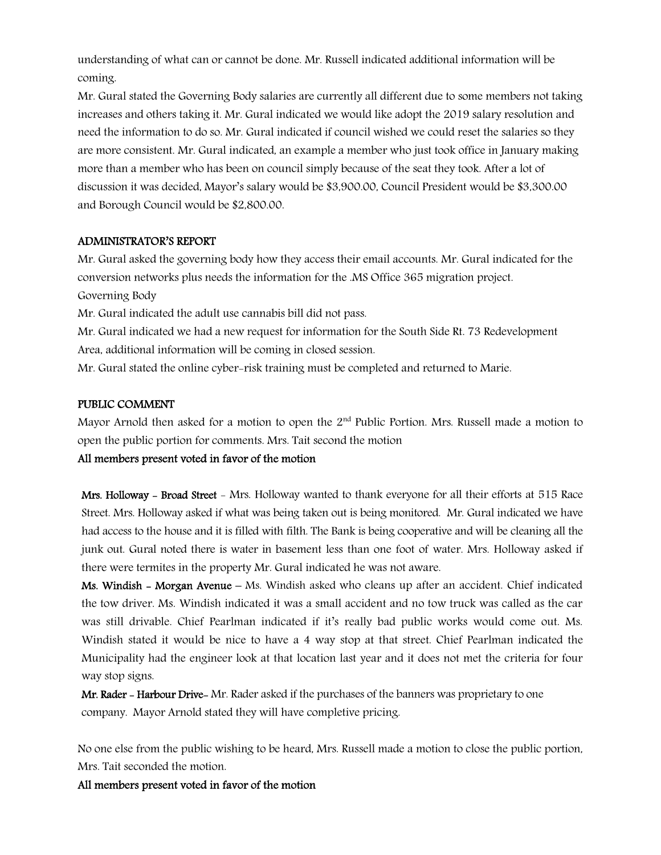understanding of what can or cannot be done. Mr. Russell indicated additional information will be coming.

Mr. Gural stated the Governing Body salaries are currently all different due to some members not taking increases and others taking it. Mr. Gural indicated we would like adopt the 2019 salary resolution and need the information to do so. Mr. Gural indicated if council wished we could reset the salaries so they are more consistent. Mr. Gural indicated, an example a member who just took office in January making more than a member who has been on council simply because of the seat they took. After a lot of discussion it was decided, Mayor's salary would be \$3,900.00, Council President would be \$3,300.00 and Borough Council would be \$2,800.00.

#### ADMINISTRATOR'S REPORT

Mr. Gural asked the governing body how they access their email accounts. Mr. Gural indicated for the conversion networks plus needs the information for the .MS Office 365 migration project. Governing Body

Mr. Gural indicated the adult use cannabis bill did not pass.

Mr. Gural indicated we had a new request for information for the South Side Rt. 73 Redevelopment Area, additional information will be coming in closed session.

Mr. Gural stated the online cyber-risk training must be completed and returned to Marie.

#### PUBLIC COMMENT

Mayor Arnold then asked for a motion to open the  $2<sup>nd</sup>$  Public Portion. Mrs. Russell made a motion to open the public portion for comments. Mrs. Tait second the motion

#### All members present voted in favor of the motion

Mrs. Holloway - Broad Street - Mrs. Holloway wanted to thank everyone for all their efforts at 515 Race Street. Mrs. Holloway asked if what was being taken out is being monitored. Mr. Gural indicated we have had access to the house and it is filled with filth. The Bank is being cooperative and will be cleaning all the junk out. Gural noted there is water in basement less than one foot of water. Mrs. Holloway asked if there were termites in the property Mr. Gural indicated he was not aware.

Ms. Windish - Morgan Avenue – Ms. Windish asked who cleans up after an accident. Chief indicated the tow driver. Ms. Windish indicated it was a small accident and no tow truck was called as the car was still drivable. Chief Pearlman indicated if it's really bad public works would come out. Ms. Windish stated it would be nice to have a 4 way stop at that street. Chief Pearlman indicated the Municipality had the engineer look at that location last year and it does not met the criteria for four way stop signs.

Mr. Rader - Harbour Drive- Mr. Rader asked if the purchases of the banners was proprietary to one company. Mayor Arnold stated they will have completive pricing.

No one else from the public wishing to be heard, Mrs. Russell made a motion to close the public portion, Mrs. Tait seconded the motion.

All members present voted in favor of the motion